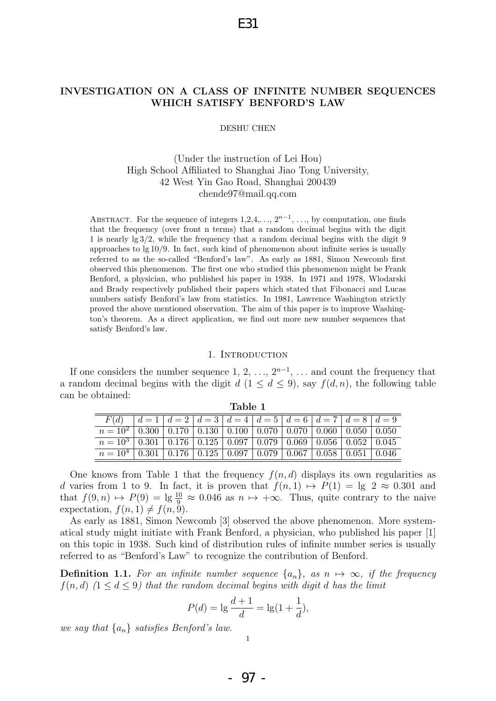## INVESTIGATION ON A CLASS OF INFINITE NUMBER SEQUENCES WHICH SATISFY BENFORD'S LAW

#### DESHU CHEN

## (Under the instruction of Lei Hou) High School Affiliated to Shanghai Jiao Tong University, 42 West Yin Gao Road, Shanghai 200439 chende97@mail.qq.com

ABSTRACT. For the sequence of integers  $1, 2, 4, \ldots, 2^{n-1}, \ldots$ , by computation, one finds that the frequency (over front n terms) that a random decimal begins with the digit 1 is nearly lg 3/2, while the frequency that a random decimal begins with the digit 9 approaches to  $\lg 10/9$ . In fact, such kind of phenomenon about infinite series is usually referred to as the so-called "Benford's law". As early as 1881, Simon Newcomb first observed this phenomenon. The first one who studied this phenomenon might be Frank Benford, a physician, who published his paper in 1938. In 1971 and 1978, Wlodarski and Brady respectively published their papers which stated that Fibonacci and Lucas numbers satisfy Benford's law from statistics. In 1981, Lawrence Washington strictly proved the above mentioned observation. The aim of this paper is to improve Washington's theorem. As a direct application, we find out more new number sequences that satisfy Benford's law.

#### 1. INTRODUCTION

If one considers the number sequence 1, 2, ...,  $2^{n-1}$ , ... and count the frequency that a random decimal begins with the digit  $d$  (1  $\leq$  d  $\leq$  9), say  $f(d, n)$ , the following table can be obtained:

|                                                                                    |  | $F(d)$ $  d = 1   d = 2   d = 3   d = 4   d = 5   d = 6   d = 7   d = 8   d = 9$ |  |  |  |  |  |  |  |  |
|------------------------------------------------------------------------------------|--|----------------------------------------------------------------------------------|--|--|--|--|--|--|--|--|
| $n = 10^2$ 0.300 0.170 0.130 0.100 0.070 0.070 0.060 0.050 0.050                   |  |                                                                                  |  |  |  |  |  |  |  |  |
| $n = 10^3$   0.301   0.176   0.125   0.097   0.079   0.069   0.056   0.052   0.045 |  |                                                                                  |  |  |  |  |  |  |  |  |
| $n = 10^4$   0.301   0.176   0.125   0.097   0.079   0.067   0.058   0.051   0.046 |  |                                                                                  |  |  |  |  |  |  |  |  |

Table 1

One knows from Table 1 that the frequency  $f(n, d)$  displays its own regularities as d varies from 1 to 9. In fact, it is proven that  $f(n, 1) \rightarrow P(1) = \lg 2 \approx 0.301$  and that  $f(9, n) \mapsto P(9) = \lg \frac{10}{9} \approx 0.046$  as  $n \mapsto +\infty$ . Thus, quite contrary to the naive expectation,  $f(n, 1) \neq f(n, 9)$ .

As early as 1881, Simon Newcomb [3] observed the above phenomenon. More systematical study might initiate with Frank Benford, a physician, who published his paper [1] on this topic in 1938. Such kind of distribution rules of infinite number series is usually referred to as "Benford's Law" to recognize the contribution of Benford.

**Definition 1.1.** For an infinite number sequence  $\{a_n\}$ , as  $n \mapsto \infty$ , if the frequency  $f(n, d)$   $(1 \leq d \leq 9)$  that the random decimal begins with digit d has the limit

$$
P(d) = \lg \frac{d+1}{d} = \lg(1 + \frac{1}{d}),
$$

we say that  $\{a_n\}$  satisfies Benford's law.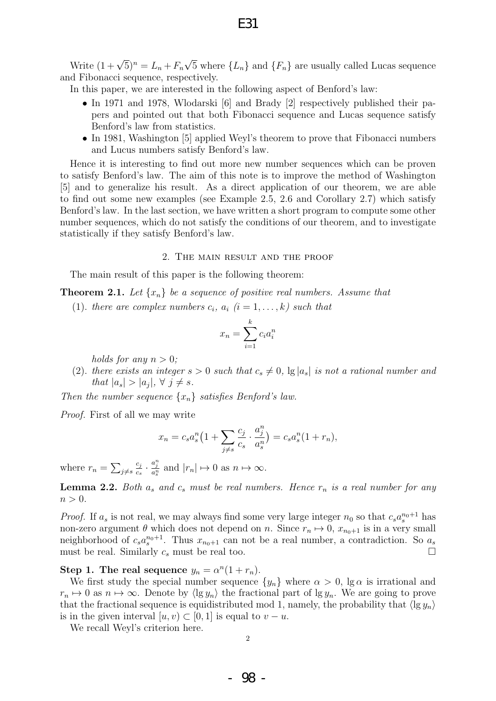Write  $(1+\sqrt{5})^n = L_n + F_n$ √ 5 where  $\{L_n\}$  and  $\{F_n\}$  are usually called Lucas sequence and Fibonacci sequence, respectively.

In this paper, we are interested in the following aspect of Benford's law:

- In 1971 and 1978, Wlodarski [6] and Brady [2] respectively published their papers and pointed out that both Fibonacci sequence and Lucas sequence satisfy Benford's law from statistics.
- In 1981, Washington [5] applied Weyl's theorem to prove that Fibonacci numbers and Lucus numbers satisfy Benford's law.

Hence it is interesting to find out more new number sequences which can be proven to satisfy Benford's law. The aim of this note is to improve the method of Washington [5] and to generalize his result. As a direct application of our theorem, we are able to find out some new examples (see Example 2.5, 2.6 and Corollary 2.7) which satisfy Benford's law. In the last section, we have written a short program to compute some other number sequences, which do not satisfy the conditions of our theorem, and to investigate statistically if they satisfy Benford's law.

#### 2. The main result and the proof

The main result of this paper is the following theorem:

**Theorem 2.1.** Let  $\{x_n\}$  be a sequence of positive real numbers. Assume that

(1). there are complex numbers  $c_i$ ,  $a_i$   $(i = 1, \ldots, k)$  such that

$$
x_n = \sum_{i=1}^k c_i a_i^n
$$

holds for any  $n > 0$ ;

(2). there exists an integer  $s > 0$  such that  $c_s \neq 0$ , lg  $|a_s|$  is not a rational number and that  $|a_s| > |a_j|, \forall j \neq s.$ 

Then the number sequence  $\{x_n\}$  satisfies Benford's law.

Proof. First of all we may write

$$
x_n = c_s a_s^n \left( 1 + \sum_{j \neq s} \frac{c_j}{c_s} \cdot \frac{a_j^n}{a_s^n} \right) = c_s a_s^n \left( 1 + r_n \right),
$$

where  $r_n = \sum_{j \neq s}$  $c_j$  $\frac{c_j}{c_s} \cdot \frac{a_j^n}{a_s^n}$  and  $|r_n| \mapsto 0$  as  $n \mapsto \infty$ .

**Lemma 2.2.** Both  $a_s$  and  $c_s$  must be real numbers. Hence  $r_n$  is a real number for any  $n > 0$ .

*Proof.* If  $a_s$  is not real, we may always find some very large integer  $n_0$  so that  $c_s a_s^{n_0+1}$  has non-zero argument  $\theta$  which does not depend on n. Since  $r_n \mapsto 0$ ,  $x_{n_0+1}$  is in a very small neighborhood of  $c_s a_s^{n_0+1}$ . Thus  $x_{n_0+1}$  can not be a real number, a contradiction. So  $a_s$ must be real. Similarly  $c_s$  must be real too.

Step 1. The real sequence  $y_n = \alpha^n(1 + r_n)$ .

We first study the special number sequence  $\{y_n\}$  where  $\alpha > 0$ ,  $\lg \alpha$  is irrational and  $r_n \mapsto 0$  as  $n \mapsto \infty$ . Denote by  $\langle \lg y_n \rangle$  the fractional part of  $\lg y_n$ . We are going to prove that the fractional sequence is equidistributed mod 1, namely, the probability that  $\langle \lg y_n \rangle$ is in the given interval  $[u, v) \subset [0, 1]$  is equal to  $v - u$ .

We recall Weyl's criterion here.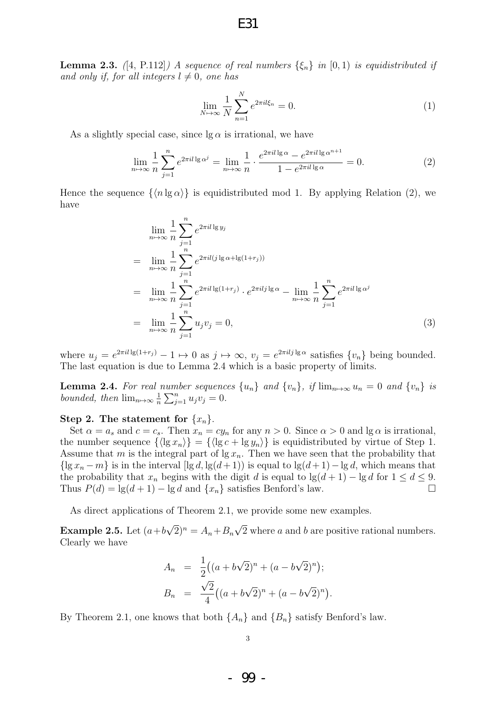**Lemma 2.3.** ([4, P.112]) A sequence of real numbers  $\{\xi_n\}$  in  $[0,1)$  is equidistributed if and only if, for all integers  $l \neq 0$ , one has

$$
\lim_{N \to \infty} \frac{1}{N} \sum_{n=1}^{N} e^{2\pi i l \xi_n} = 0.
$$
 (1)

As a slightly special case, since  $\lg \alpha$  is irrational, we have

$$
\lim_{n \to \infty} \frac{1}{n} \sum_{j=1}^{n} e^{2\pi i l \lg \alpha^j} = \lim_{n \to \infty} \frac{1}{n} \cdot \frac{e^{2\pi i l \lg \alpha} - e^{2\pi i l \lg \alpha^{n+1}}}{1 - e^{2\pi i l \lg \alpha}} = 0.
$$
\n(2)

Hence the sequence  $\{\langle n \lg \alpha \rangle\}$  is equidistributed mod 1. By applying Relation (2), we have

$$
\lim_{n \to \infty} \frac{1}{n} \sum_{j=1}^{n} e^{2\pi i l \lg y_j}
$$
\n
$$
= \lim_{n \to \infty} \frac{1}{n} \sum_{j=1}^{n} e^{2\pi i l (j \lg \alpha + \lg(1+r_j))}
$$
\n
$$
= \lim_{n \to \infty} \frac{1}{n} \sum_{j=1}^{n} e^{2\pi i l \lg(1+r_j)} \cdot e^{2\pi i l j \lg \alpha} - \lim_{n \to \infty} \frac{1}{n} \sum_{j=1}^{n} e^{2\pi i l \lg \alpha^{j}}
$$
\n
$$
= \lim_{n \to \infty} \frac{1}{n} \sum_{j=1}^{n} u_j v_j = 0,
$$
\n(3)

where  $u_j = e^{2\pi i l \lg(1+r_j)} - 1 \mapsto 0$  as  $j \mapsto \infty$ ,  $v_j = e^{2\pi i l j \lg \alpha}$  satisfies  $\{v_n\}$  being bounded. The last equation is due to Lemma 2.4 which is a basic property of limits.

**Lemma 2.4.** For real number sequences  $\{u_n\}$  and  $\{v_n\}$ , if  $\lim_{n\to\infty}u_n = 0$  and  $\{v_n\}$  is bounded, then  $\lim_{n\to\infty} \frac{1}{n}$  $\frac{1}{n} \sum_{j=1}^{n} u_j v_j = 0.$ 

### Step 2. The statement for  $\{x_n\}$ .

Set  $\alpha = a_s$  and  $c = c_s$ . Then  $x_n = cy_n$  for any  $n > 0$ . Since  $\alpha > 0$  and  $\lg \alpha$  is irrational, the number sequence  $\{\langle \lg x_n \rangle\} = \{\langle \lg c + \lg y_n \rangle\}$  is equidistributed by virtue of Step 1. Assume that m is the integral part of  $\lg x_n$ . Then we have seen that the probability that  $\{\lg x_n - m\}$  is in the interval  $[\lg d, \lg(d+1))$  is equal to  $\lg(d+1)-\lg d$ , which means that the probability that  $x_n$  begins with the digit d is equal to  $\lg(d+1) - \lg d$  for  $1 \leq d \leq 9$ . Thus  $P(d) = \lg(d+1) - \lg d$  and  $\{x_n\}$  satisfies Benford's law.

As direct applications of Theorem 2.1, we provide some new examples.

**Example 2.5.** Let  $(a+b)$ √  $(\overline{2})^n = A_n + B_n$ √ 2 where a and b are positive rational numbers. Clearly we have

$$
A_n = \frac{1}{2} ((a + b\sqrt{2})^n + (a - b\sqrt{2})^n);
$$
  
\n
$$
B_n = \frac{\sqrt{2}}{4} ((a + b\sqrt{2})^n + (a - b\sqrt{2})^n).
$$

By Theorem 2.1, one knows that both  $\{A_n\}$  and  $\{B_n\}$  satisfy Benford's law.

E31

- 99 -

3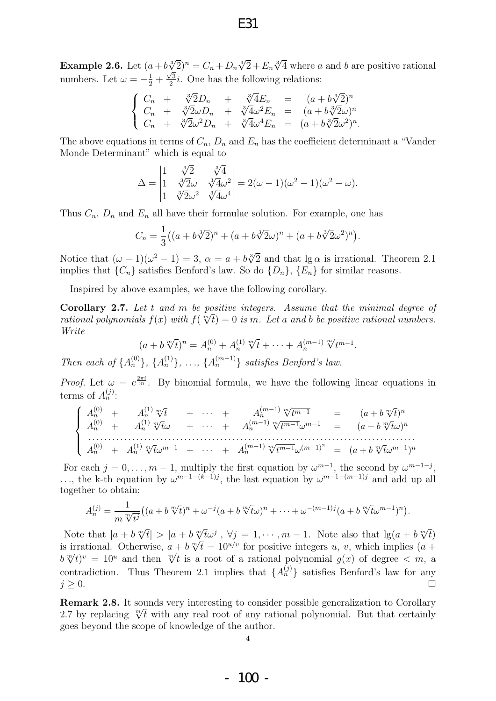## E31

**Example 2.6.** Let  $(a+b\sqrt[3]{2})^n = C_n + D_n\sqrt[3]{2} + E_n\sqrt[3]{4}$  where a and b are positive rational numbers. Let  $\omega = -\frac{1}{2} + \frac{\sqrt{3}}{2}$  $\frac{\sqrt{3}}{2}i$ . One has the following relations:

$$
\begin{cases}\nC_n + \sqrt[3]{2}D_n + \sqrt[3]{4}E_n = (a+b\sqrt[3]{2})^n \\
C_n + \sqrt[3]{2}\omega D_n + \sqrt[3]{4}\omega^2 E_n = (a+b\sqrt[3]{2}\omega)^n \\
C_n + \sqrt[3]{2}\omega^2 D_n + \sqrt[3]{4}\omega^4 E_n = (a+b\sqrt[3]{2}\omega^2)^n\n\end{cases}
$$

The above equations in terms of  $C_n$ ,  $D_n$  and  $E_n$  has the coefficient determinant a "Vander" Monde Determinant" which is equal to

.

$$
\Delta = \begin{vmatrix} 1 & \sqrt[3]{2} & \sqrt[3]{4} \\ 1 & \sqrt[3]{2}\omega & \sqrt[3]{4}\omega^2 \\ 1 & \sqrt[3]{2}\omega^2 & \sqrt[3]{4}\omega^4 \end{vmatrix} = 2(\omega - 1)(\omega^2 - 1)(\omega^2 - \omega).
$$

Thus  $C_n$ ,  $D_n$  and  $E_n$  all have their formulae solution. For example, one has

$$
C_n = \frac{1}{3} \left( (a + b\sqrt[3]{2})^n + (a + b\sqrt[3]{2}\omega)^n + (a + b\sqrt[3]{2}\omega^2)^n \right).
$$

Notice that  $(\omega - 1)(\omega^2 - 1) = 3$ ,  $\alpha = a + b\sqrt[3]{2}$  and that  $\lg \alpha$  is irrational. Theorem 2.1 implies that  $\{C_n\}$  satisfies Benford's law. So do  $\{D_n\}$ ,  $\{E_n\}$  for similar reasons.

Inspired by above examples, we have the following corollary.

**Corollary 2.7.** Let t and m be positive integers. Assume that the minimal degree of extended purposed  $f(x)$  with  $f(\mathbb{R}^d) = 0$  is  $\mathbb{R}^d$ , Let a said b is positive rational purposes rational polynomials  $f(x)$  with  $f(\sqrt[m]{t}) = 0$  is m. Let a and b be positive rational numbers. Write  $\frac{m}{2}$ 

$$
(a+b\sqrt[m]{t})^n = A_n^{(0)} + A_n^{(1)}\sqrt[m]{t} + \cdots + A_n^{(m-1)}\sqrt[m]{t^{m-1}}.
$$

Then each of  $\{A_n^{(0)}\}, \{A_n^{(1)}\}, \ldots, \{A_n^{(m-1)}\}$  satisfies Benford's law.

*Proof.* Let  $\omega = e^{\frac{2\pi i}{m}}$ . By binomial formula, we have the following linear equations in terms of  $A_n^{(j)}$ :

$$
\begin{cases}\nA_n^{(0)} + A_n^{(1)} \sqrt[m]{t} + \cdots + A_n^{(m-1)} \sqrt[m]{t^{m-1}} = (a + b \sqrt[m]{t})^n \\
A_n^{(0)} + A_n^{(1)} \sqrt[m]{t} \omega + \cdots + A_n^{(m-1)} \sqrt[m]{t^{m-1}} \omega^{m-1} = (a + b \sqrt[m]{t} \omega)^n \\
\vdots \\
A_n^{(0)} + A_n^{(1)} \sqrt[m]{t} \omega^{m-1} + \cdots + A_n^{(m-1)} \sqrt[m]{t^{m-1}} \omega^{(m-1)^2} = (a + b \sqrt[m]{t} \omega^{m-1})^n\n\end{cases}
$$

For each  $j = 0, \ldots, m - 1$ , multiply the first equation by  $\omega^{m-1}$ , the second by  $\omega^{m-1-j}$ , ..., the k-th equation by  $\omega^{m-1-(k-1)j}$ , the last equation by  $\omega^{m-1-(m-1)j}$  and add up all together to obtain:

$$
A_n^{(j)} = \frac{1}{m \sqrt[m]{t^j}} \big( (a + b \sqrt[m]{t})^n + \omega^{-j} (a + b \sqrt[m]{t} \omega)^n + \dots + \omega^{-(m-1)j} (a + b \sqrt[m]{t} \omega^{m-1})^n \big).
$$

Note that  $|a + b \sqrt[m]{t}| > |a + b \sqrt[m]{t} \omega^j|$ ,  $\forall j = 1, \dots, m-1$ . Note also that  $\lg(a + b \sqrt[m]{t})$ Note that  $|a + b \sqrt{t}| > |a + b \sqrt{t} \omega^2|$ ,  $\sqrt{t} = 1, \dots, m - 1$ . Note also that  $\lg(a + b \sqrt{t})$  is irrational. Otherwise,  $a + b \sqrt[m]{t} = 10^{u/v}$  for positive integers u, v, which implies  $(a + b \sqrt{t})$ is irrational. Otherwise,  $a + b \sqrt{t} = 10^{-7}$  for positive integers  $u, v$ , which implies  $(a + b \sqrt[m]{t})^v = 10^u$  and then  $\sqrt[m]{t}$  is a root of a rational polynomial  $g(x)$  of degree  $\lt m$ , a contradiction. Thus Theorem 2.1 implies that  $\{A_n^{(j)}\}$  satisfies Benford's law for any  $j \geq 0$ .

Remark 2.8. It sounds very interesting to consider possible generalization to Corollary **Remark 2.8.** It sounds very interesting to consider possible generalization to Corollary<br>2.7 by replacing  $\sqrt[m]{t}$  with any real root of any rational polynomial. But that certainly goes beyond the scope of knowledge of the author.

4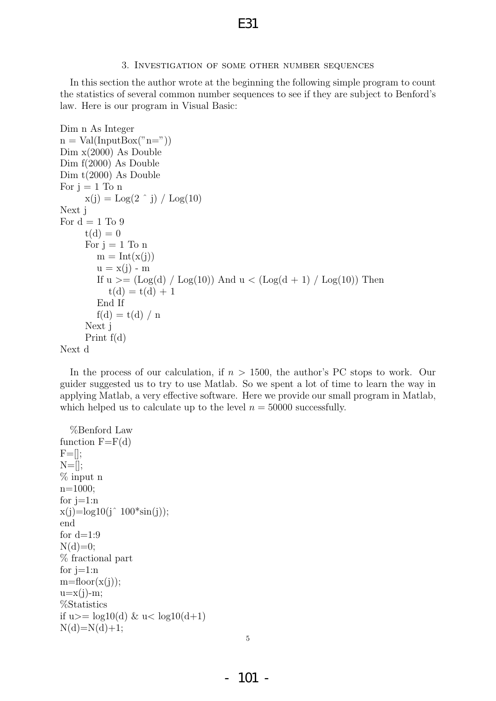### 3. Investigation of some other number sequences

In this section the author wrote at the beginning the following simple program to count the statistics of several common number sequences to see if they are subject to Benford's law. Here is our program in Visual Basic:

```
Dim n As Integer
n = Val(InputBox("n="))Dim x(2000) As Double
Dim f(2000) As Double
Dim t(2000) As Double
For i = 1 To n
     x(j) = Log(2 \rceil j) / Log(10)Next j
For d = 1 To 9
     t(d) = 0For i = 1 To n
        m = Int(x(j))u = x(j) - mIf u \geq (Log(d) / Log(10)) And u \lt (Log(d + 1) / Log(10)) Then
           t(d) = t(d) + 1End If
        f(d) = t(d) / nNext j
     Print f(d)
Next d
```
In the process of our calculation, if  $n > 1500$ , the author's PC stops to work. Our guider suggested us to try to use Matlab. So we spent a lot of time to learn the way in applying Matlab, a very effective software. Here we provide our small program in Matlab, which helped us to calculate up to the level  $n = 50000$  successfully.

```
%Benford Law
function F=F(d)F = [];
N=\left[\right];% input n
n=1000;
for i=1:nx(j)=log10(j^2 100*sin(j));end
for d=1:9N(d)=0;
% fractional part
for j=1:nm = floor(x(j));u=x(j)-m;%Statistics
if u>= log10(d) & u< log10(d+1)N(d)=N(d)+1;
```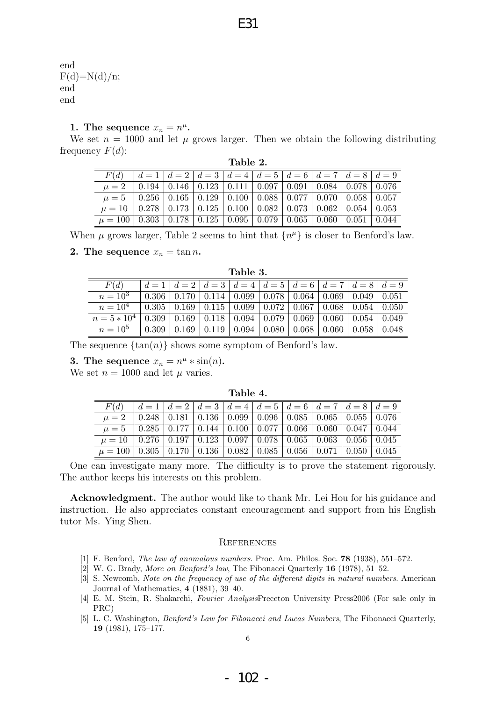E31

end  $F(d)=N(d)/n;$ end end

# 1. The sequence  $x_n = n^{\mu}$ .

We set  $n = 1000$  and let  $\mu$  grows larger. Then we obtain the following distributing frequency  $F(d)$ :

| Table 2.                                                                            |  |                                                                                                      |  |  |  |  |  |  |  |  |
|-------------------------------------------------------------------------------------|--|------------------------------------------------------------------------------------------------------|--|--|--|--|--|--|--|--|
| F(d)                                                                                |  | $d=1$   $d=2$   $d=3$   $d=4$   $d=5$   $d=6$   $d=7$   $d=8$   $d=9$                                |  |  |  |  |  |  |  |  |
| $\mu = 2$                                                                           |  | $\mid 0.194 \mid 0.146 \mid 0.123 \mid 0.111 \mid 0.097 \mid 0.091 \mid 0.084 \mid 0.078 \mid 0.076$ |  |  |  |  |  |  |  |  |
| $\mu = 5$   0.256   0.165   0.129   0.100   0.088   0.077   0.070   0.058   0.057   |  |                                                                                                      |  |  |  |  |  |  |  |  |
| $\mu = 10$   0.278   0.173   0.125   0.100   0.082   0.073   0.062   0.054   0.053  |  |                                                                                                      |  |  |  |  |  |  |  |  |
| $\mu = 100   0.303   0.178   0.125   0.095   0.079   0.065   0.060   0.051   0.044$ |  |                                                                                                      |  |  |  |  |  |  |  |  |

When  $\mu$  grows larger, Table 2 seems to hint that  $\{n^{\mu}\}\$ is closer to Benford's law.

### 2. The sequence  $x_n = \tan n$ .

| Table 3.      |       |       |                                                               |       |       |       |       |       |       |  |
|---------------|-------|-------|---------------------------------------------------------------|-------|-------|-------|-------|-------|-------|--|
| F(d)          |       |       | $d=1$ $ d=2$ $ d=3$ $ d=4$ $ d=5$ $ d=6$ $ d=7$ $ d=8$ $ d=9$ |       |       |       |       |       |       |  |
| $n = 10^3$    | 0.306 | 0.170 | 0.114                                                         | 0.099 | 0.078 | 0.064 | 0.069 | 0.049 | 0.051 |  |
| $n = 10^4$    | 0.305 | 0.169 | 0.115                                                         | 0.099 | 0.072 | 0.067 | 0.068 | 0.054 | 0.050 |  |
| $n = 5 * 104$ | 0.309 | 0.169 | 0.118                                                         | 0.094 | 0.079 | 0.069 | 0.060 | 0.054 | 0.049 |  |
| $n = 10^{5}$  | 0.309 | 0.169 | 0.119                                                         | 0.094 | 0.080 | 0.068 | 0.060 | 0.058 | 0.048 |  |

The sequence  $\{\tan(n)\}\$  shows some symptom of Benford's law.

3. The sequence  $x_n = n^{\mu} * \sin(n)$ .

We set  $n = 1000$  and let  $\mu$  varies.

| Table 4.                                                                                                       |  |  |  |                                                                       |  |  |  |  |  |  |
|----------------------------------------------------------------------------------------------------------------|--|--|--|-----------------------------------------------------------------------|--|--|--|--|--|--|
| F(d)                                                                                                           |  |  |  | $d=1$   $d=2$   $d=3$   $d=4$   $d=5$   $d=6$   $d=7$   $d=8$   $d=9$ |  |  |  |  |  |  |
| $\mu = 2$                                                                                                      |  |  |  | 0.248   0.181   0.136   0.099   0.096   0.085   0.065   0.055   0.076 |  |  |  |  |  |  |
| $\mu = 5$   0.285   0.177   0.144   0.100   0.077   0.066   0.060   0.047   0.044                              |  |  |  |                                                                       |  |  |  |  |  |  |
| $\mu = 10 \mid 0.276 \mid 0.197 \mid 0.123 \mid 0.097 \mid 0.078 \mid 0.065 \mid 0.063 \mid 0.056 \mid 0.045$  |  |  |  |                                                                       |  |  |  |  |  |  |
| $\mu = 100 \mid 0.305 \mid 0.170 \mid 0.136 \mid 0.082 \mid 0.085 \mid 0.056 \mid 0.071 \mid 0.050 \mid 0.045$ |  |  |  |                                                                       |  |  |  |  |  |  |

One can investigate many more. The difficulty is to prove the statement rigorously. The author keeps his interests on this problem.

Acknowledgment. The author would like to thank Mr. Lei Hou for his guidance and instruction. He also appreciates constant encouragement and support from his English tutor Ms. Ying Shen.

#### **REFERENCES**

- [1] F. Benford, The law of anomalous numbers. Proc. Am. Philos. Soc. 78 (1938), 551–572.
- [2] W. G. Brady, More on Benford's law, The Fibonacci Quarterly 16 (1978), 51–52.
- [3] S. Newcomb, Note on the frequency of use of the different digits in natural numbers. American Journal of Mathematics, 4 (1881), 39–40.
- [4] E. M. Stein, R. Shakarchi, Fourier AnalysisPreceton University Press2006 (For sale only in PRC)
- [5] L. C. Washington, *Benford's Law for Fibonacci and Lucas Numbers*, The Fibonacci Quarterly, 19 (1981), 175–177.